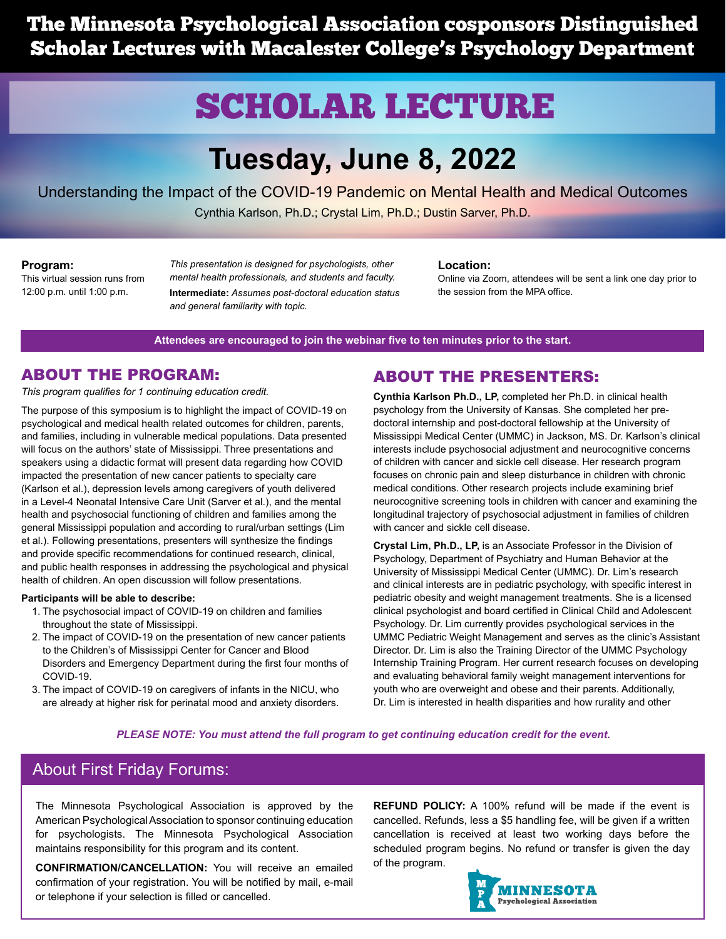The Minnesota Psychological Association cosponsors Distinguished Scholar Lectures with Macalester College's Psychology Department

# SCHOLAR LECTURE

# **Tuesday, June 8, 2022**

Understanding the Impact of the COVID-19 Pandemic on Mental Health and Medical Outcomes Cynthia Karlson, Ph.D.; Crystal Lim, Ph.D.; Dustin Sarver, Ph.D.

#### **Program:**

This virtual session runs from 12:00 p.m. until 1:00 p.m.

*This presentation is designed for psychologists, other mental health professionals, and students and faculty.* **Intermediate:** *Assumes post-doctoral education status and general familiarity with topic.*

#### **Location:**

Online via Zoom, attendees will be sent a link one day prior to the session from the MPA office.

**Attendees are encouraged to join the webinar five to ten minutes prior to the start.**

### ABOUT THE PROGRAM:

*This program qualifies for 1 continuing education credit.*

The purpose of this symposium is to highlight the impact of COVID-19 on psychological and medical health related outcomes for children, parents, and families, including in vulnerable medical populations. Data presented will focus on the authors' state of Mississippi. Three presentations and speakers using a didactic format will present data regarding how COVID impacted the presentation of new cancer patients to specialty care (Karlson et al.), depression levels among caregivers of youth delivered in a Level-4 Neonatal Intensive Care Unit (Sarver et al.), and the mental health and psychosocial functioning of children and families among the general Mississippi population and according to rural/urban settings (Lim et al.). Following presentations, presenters will synthesize the findings and provide specific recommendations for continued research, clinical, and public health responses in addressing the psychological and physical health of children. An open discussion will follow presentations.

#### **Participants will be able to describe:**

- 1. The psychosocial impact of COVID-19 on children and families throughout the state of Mississippi.
- 2. The impact of COVID-19 on the presentation of new cancer patients to the Children's of Mississippi Center for Cancer and Blood Disorders and Emergency Department during the first four months of COVID-19.
- 3. The impact of COVID-19 on caregivers of infants in the NICU, who are already at higher risk for perinatal mood and anxiety disorders.

## ABOUT THE PRESENTERS:

**Cynthia Karlson Ph.D., LP,** completed her Ph.D. in clinical health psychology from the University of Kansas. She completed her predoctoral internship and post-doctoral fellowship at the University of Mississippi Medical Center (UMMC) in Jackson, MS. Dr. Karlson's clinical interests include psychosocial adjustment and neurocognitive concerns of children with cancer and sickle cell disease. Her research program focuses on chronic pain and sleep disturbance in children with chronic medical conditions. Other research projects include examining brief neurocognitive screening tools in children with cancer and examining the longitudinal trajectory of psychosocial adjustment in families of children with cancer and sickle cell disease.

**Crystal Lim, Ph.D., LP,** is an Associate Professor in the Division of Psychology, Department of Psychiatry and Human Behavior at the University of Mississippi Medical Center (UMMC). Dr. Lim's research and clinical interests are in pediatric psychology, with specific interest in pediatric obesity and weight management treatments. She is a licensed clinical psychologist and board certified in Clinical Child and Adolescent Psychology. Dr. Lim currently provides psychological services in the UMMC Pediatric Weight Management and serves as the clinic's Assistant Director. Dr. Lim is also the Training Director of the UMMC Psychology Internship Training Program. Her current research focuses on developing and evaluating behavioral family weight management interventions for youth who are overweight and obese and their parents. Additionally, Dr. Lim is interested in health disparities and how rurality and other

### *PLEASE NOTE: You must attend the full program to get continuing education credit for the event.*

## About First Friday Forums:

The Minnesota Psychological Association is approved by the American Psychological Association to sponsor continuing education for psychologists. The Minnesota Psychological Association maintains responsibility for this program and its content.

**CONFIRMATION/CANCELLATION:** You will receive an emailed confirmation of your registration. You will be notified by mail, e-mail or telephone if your selection is filled or cancelled.

**REFUND POLICY:** A 100% refund will be made if the event is cancelled. Refunds, less a \$5 handling fee, will be given if a written cancellation is received at least two working days before the scheduled program begins. No refund or transfer is given the day of the program.